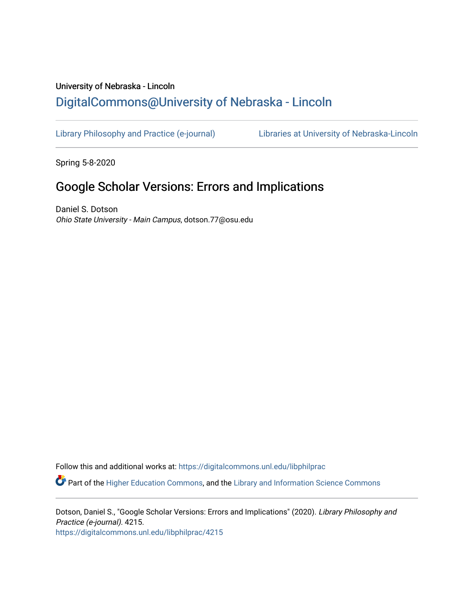## University of Nebraska - Lincoln [DigitalCommons@University of Nebraska - Lincoln](https://digitalcommons.unl.edu/)

[Library Philosophy and Practice \(e-journal\)](https://digitalcommons.unl.edu/libphilprac) [Libraries at University of Nebraska-Lincoln](https://digitalcommons.unl.edu/libraries) 

Spring 5-8-2020

## Google Scholar Versions: Errors and Implications

Daniel S. Dotson Ohio State University - Main Campus, dotson.77@osu.edu

Follow this and additional works at: [https://digitalcommons.unl.edu/libphilprac](https://digitalcommons.unl.edu/libphilprac?utm_source=digitalcommons.unl.edu%2Flibphilprac%2F4215&utm_medium=PDF&utm_campaign=PDFCoverPages) 

 $\bullet$  Part of the [Higher Education Commons,](http://network.bepress.com/hgg/discipline/1245?utm_source=digitalcommons.unl.edu%2Flibphilprac%2F4215&utm_medium=PDF&utm_campaign=PDFCoverPages) and the Library and Information Science Commons

Dotson, Daniel S., "Google Scholar Versions: Errors and Implications" (2020). Library Philosophy and Practice (e-journal). 4215. [https://digitalcommons.unl.edu/libphilprac/4215](https://digitalcommons.unl.edu/libphilprac/4215?utm_source=digitalcommons.unl.edu%2Flibphilprac%2F4215&utm_medium=PDF&utm_campaign=PDFCoverPages)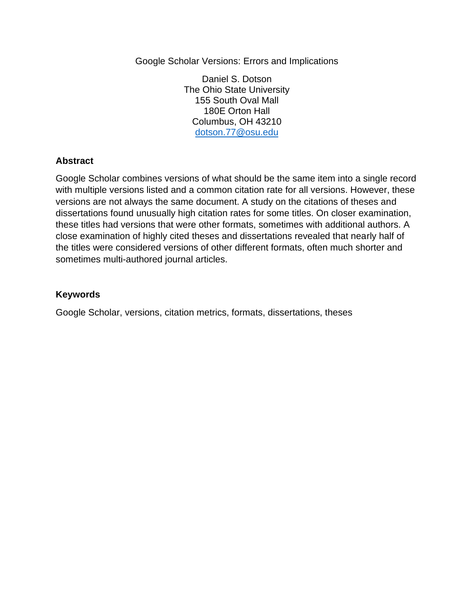Google Scholar Versions: Errors and Implications

Daniel S. Dotson The Ohio State University 155 South Oval Mall 180E Orton Hall Columbus, OH 43210 [dotson.77@osu.edu](mailto:dotson.77@osu.edu)

## **Abstract**

Google Scholar combines versions of what should be the same item into a single record with multiple versions listed and a common citation rate for all versions. However, these versions are not always the same document. A study on the citations of theses and dissertations found unusually high citation rates for some titles. On closer examination, these titles had versions that were other formats, sometimes with additional authors. A close examination of highly cited theses and dissertations revealed that nearly half of the titles were considered versions of other different formats, often much shorter and sometimes multi-authored journal articles.

#### **Keywords**

Google Scholar, versions, citation metrics, formats, dissertations, theses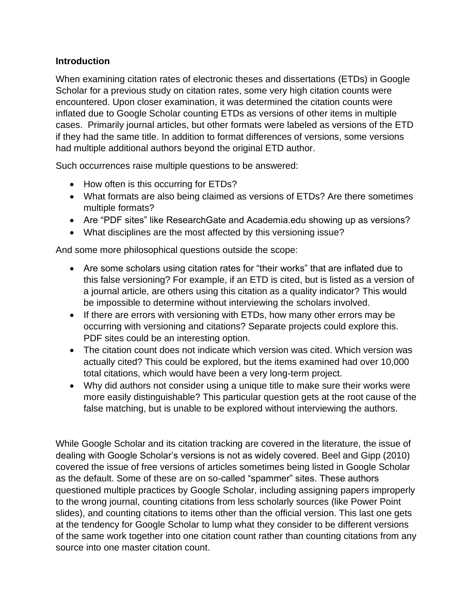#### **Introduction**

When examining citation rates of electronic theses and dissertations (ETDs) in Google Scholar for a previous study on citation rates, some very high citation counts were encountered. Upon closer examination, it was determined the citation counts were inflated due to Google Scholar counting ETDs as versions of other items in multiple cases. Primarily journal articles, but other formats were labeled as versions of the ETD if they had the same title. In addition to format differences of versions, some versions had multiple additional authors beyond the original ETD author.

Such occurrences raise multiple questions to be answered:

- How often is this occurring for ETDs?
- What formats are also being claimed as versions of ETDs? Are there sometimes multiple formats?
- Are "PDF sites" like ResearchGate and Academia.edu showing up as versions?
- What disciplines are the most affected by this versioning issue?

And some more philosophical questions outside the scope:

- Are some scholars using citation rates for "their works" that are inflated due to this false versioning? For example, if an ETD is cited, but is listed as a version of a journal article, are others using this citation as a quality indicator? This would be impossible to determine without interviewing the scholars involved.
- If there are errors with versioning with ETDs, how many other errors may be occurring with versioning and citations? Separate projects could explore this. PDF sites could be an interesting option.
- The citation count does not indicate which version was cited. Which version was actually cited? This could be explored, but the items examined had over 10,000 total citations, which would have been a very long-term project.
- Why did authors not consider using a unique title to make sure their works were more easily distinguishable? This particular question gets at the root cause of the false matching, but is unable to be explored without interviewing the authors.

While Google Scholar and its citation tracking are covered in the literature, the issue of dealing with Google Scholar's versions is not as widely covered. Beel and Gipp (2010) covered the issue of free versions of articles sometimes being listed in Google Scholar as the default. Some of these are on so-called "spammer" sites. These authors questioned multiple practices by Google Scholar, including assigning papers improperly to the wrong journal, counting citations from less scholarly sources (like Power Point slides), and counting citations to items other than the official version. This last one gets at the tendency for Google Scholar to lump what they consider to be different versions of the same work together into one citation count rather than counting citations from any source into one master citation count.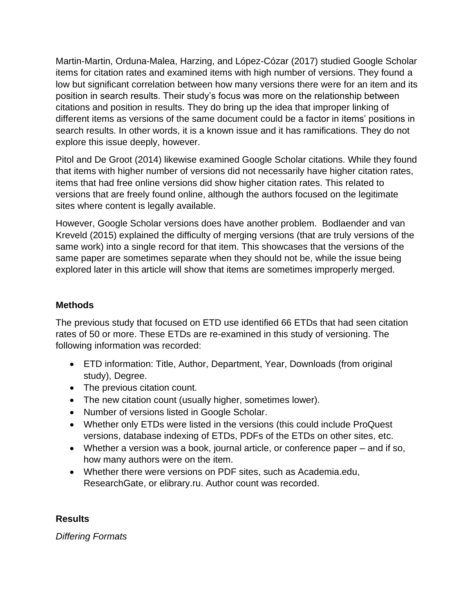Martin-Martin, Orduna-Malea, Harzing, and López-Cózar (2017) studied Google Scholar items for citation rates and examined items with high number of versions. They found a low but significant correlation between how many versions there were for an item and its position in search results. Their study's focus was more on the relationship between citations and position in results. They do bring up the idea that improper linking of different items as versions of the same document could be a factor in items' positions in search results. In other words, it is a known issue and it has ramifications. They do not explore this issue deeply, however.

Pitol and De Groot (2014) likewise examined Google Scholar citations. While they found that items with higher number of versions did not necessarily have higher citation rates, items that had free online versions did show higher citation rates. This related to versions that are freely found online, although the authors focused on the legitimate sites where content is legally available.

However, Google Scholar versions does have another problem. Bodlaender and van Kreveld (2015) explained the difficulty of merging versions (that are truly versions of the same work) into a single record for that item. This showcases that the versions of the same paper are sometimes separate when they should not be, while the issue being explored later in this article will show that items are sometimes improperly merged.

## **Methods**

The previous study that focused on ETD use identified 66 ETDs that had seen citation rates of 50 or more. These ETDs are re-examined in this study of versioning. The following information was recorded:

- ETD information: Title, Author, Department, Year, Downloads (from original study), Degree.
- The previous citation count.
- The new citation count (usually higher, sometimes lower).
- Number of versions listed in Google Scholar.
- Whether only ETDs were listed in the versions (this could include ProQuest versions, database indexing of ETDs, PDFs of the ETDs on other sites, etc.
- Whether a version was a book, journal article, or conference paper and if so, how many authors were on the item.
- Whether there were versions on PDF sites, such as Academia.edu, ResearchGate, or elibrary.ru. Author count was recorded.

## **Results**

*Differing Formats*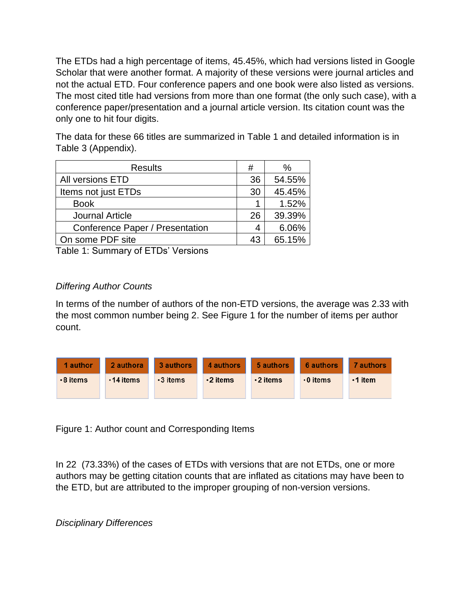The ETDs had a high percentage of items, 45.45%, which had versions listed in Google Scholar that were another format. A majority of these versions were journal articles and not the actual ETD. Four conference papers and one book were also listed as versions. The most cited title had versions from more than one format (the only such case), with a conference paper/presentation and a journal article version. Its citation count was the only one to hit four digits.

The data for these 66 titles are summarized in Table 1 and detailed information is in Table 3 (Appendix).

| <b>Results</b>                  | #  | $\%$   |
|---------------------------------|----|--------|
| All versions ETD                | 36 | 54.55% |
| Items not just ETDs             | 30 | 45.45% |
| <b>Book</b>                     |    | 1.52%  |
| <b>Journal Article</b>          | 26 | 39.39% |
| Conference Paper / Presentation | 4  | 6.06%  |
| On some PDF site                | 43 | 65.15% |

Table 1: Summary of ETDs' Versions

## *Differing Author Counts*

In terms of the number of authors of the non-ETD versions, the average was 2.33 with the most common number being 2. See Figure 1 for the number of items per author count.



Figure 1: Author count and Corresponding Items

In 22 (73.33%) of the cases of ETDs with versions that are not ETDs, one or more authors may be getting citation counts that are inflated as citations may have been to the ETD, but are attributed to the improper grouping of non-version versions.

*Disciplinary Differences*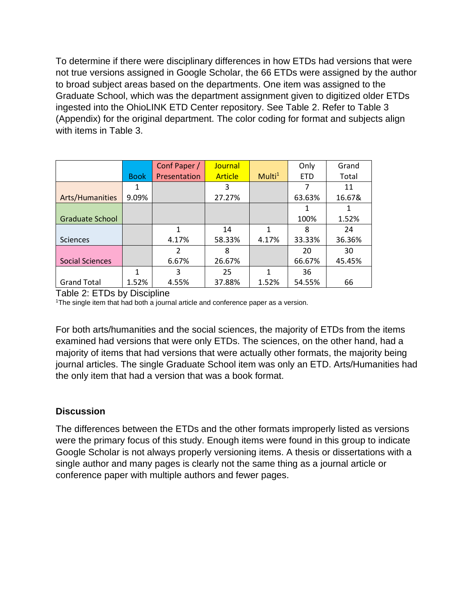To determine if there were disciplinary differences in how ETDs had versions that were not true versions assigned in Google Scholar, the 66 ETDs were assigned by the author to broad subject areas based on the departments. One item was assigned to the Graduate School, which was the department assignment given to digitized older ETDs ingested into the OhioLINK ETD Center repository. See Table 2. Refer to Table 3 (Appendix) for the original department. The color coding for format and subjects align with items in Table 3.

|                        |             | Conf Paper /  | Journal        |                    | Only       | Grand  |
|------------------------|-------------|---------------|----------------|--------------------|------------|--------|
|                        | <b>Book</b> | Presentation  | <b>Article</b> | Multi <sup>1</sup> | <b>ETD</b> | Total  |
|                        |             |               | 3              |                    | 7          | 11     |
| Arts/Humanities        | 9.09%       |               | 27.27%         |                    | 63.63%     | 16.67& |
|                        |             |               |                |                    |            |        |
| <b>Graduate School</b> |             |               |                |                    | 100%       | 1.52%  |
|                        |             | 1             | 14             | 1                  | 8          | 24     |
| <b>Sciences</b>        |             | 4.17%         | 58.33%         | 4.17%              | 33.33%     | 36.36% |
|                        |             | $\mathcal{P}$ | 8              |                    | 20         | 30     |
| <b>Social Sciences</b> |             | 6.67%         | 26.67%         |                    | 66.67%     | 45.45% |
|                        | 1           | 3             | 25             | 1                  | 36         |        |
| <b>Grand Total</b>     | 1.52%       | 4.55%         | 37.88%         | 1.52%              | 54.55%     | 66     |

Table 2: ETDs by Discipline

<sup>1</sup>The single item that had both a journal article and conference paper as a version.

For both arts/humanities and the social sciences, the majority of ETDs from the items examined had versions that were only ETDs. The sciences, on the other hand, had a majority of items that had versions that were actually other formats, the majority being journal articles. The single Graduate School item was only an ETD. Arts/Humanities had the only item that had a version that was a book format.

#### **Discussion**

The differences between the ETDs and the other formats improperly listed as versions were the primary focus of this study. Enough items were found in this group to indicate Google Scholar is not always properly versioning items. A thesis or dissertations with a single author and many pages is clearly not the same thing as a journal article or conference paper with multiple authors and fewer pages.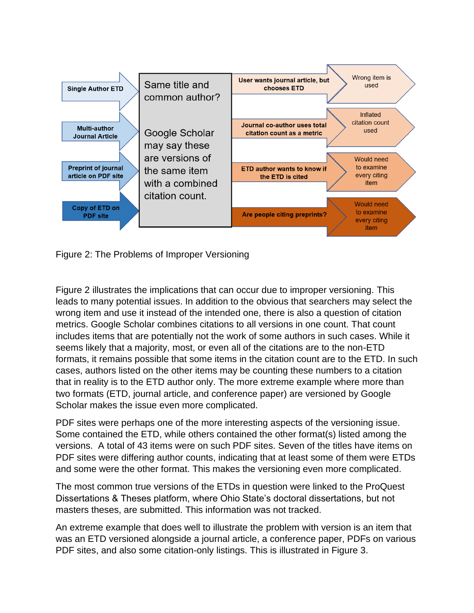

Figure 2: The Problems of Improper Versioning

Figure 2 illustrates the implications that can occur due to improper versioning. This leads to many potential issues. In addition to the obvious that searchers may select the wrong item and use it instead of the intended one, there is also a question of citation metrics. Google Scholar combines citations to all versions in one count. That count includes items that are potentially not the work of some authors in such cases. While it seems likely that a majority, most, or even all of the citations are to the non-ETD formats, it remains possible that some items in the citation count are to the ETD. In such cases, authors listed on the other items may be counting these numbers to a citation that in reality is to the ETD author only. The more extreme example where more than two formats (ETD, journal article, and conference paper) are versioned by Google Scholar makes the issue even more complicated.

PDF sites were perhaps one of the more interesting aspects of the versioning issue. Some contained the ETD, while others contained the other format(s) listed among the versions. A total of 43 items were on such PDF sites. Seven of the titles have items on PDF sites were differing author counts, indicating that at least some of them were ETDs and some were the other format. This makes the versioning even more complicated.

The most common true versions of the ETDs in question were linked to the ProQuest Dissertations & Theses platform, where Ohio State's doctoral dissertations, but not masters theses, are submitted. This information was not tracked.

An extreme example that does well to illustrate the problem with version is an item that was an ETD versioned alongside a journal article, a conference paper, PDFs on various PDF sites, and also some citation-only listings. This is illustrated in Figure 3.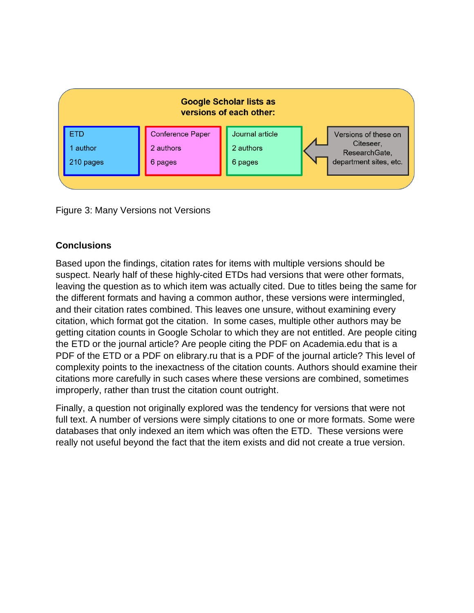

Figure 3: Many Versions not Versions

## **Conclusions**

Based upon the findings, citation rates for items with multiple versions should be suspect. Nearly half of these highly-cited ETDs had versions that were other formats, leaving the question as to which item was actually cited. Due to titles being the same for the different formats and having a common author, these versions were intermingled, and their citation rates combined. This leaves one unsure, without examining every citation, which format got the citation. In some cases, multiple other authors may be getting citation counts in Google Scholar to which they are not entitled. Are people citing the ETD or the journal article? Are people citing the PDF on Academia.edu that is a PDF of the ETD or a PDF on elibrary.ru that is a PDF of the journal article? This level of complexity points to the inexactness of the citation counts. Authors should examine their citations more carefully in such cases where these versions are combined, sometimes improperly, rather than trust the citation count outright.

Finally, a question not originally explored was the tendency for versions that were not full text. A number of versions were simply citations to one or more formats. Some were databases that only indexed an item which was often the ETD. These versions were really not useful beyond the fact that the item exists and did not create a true version.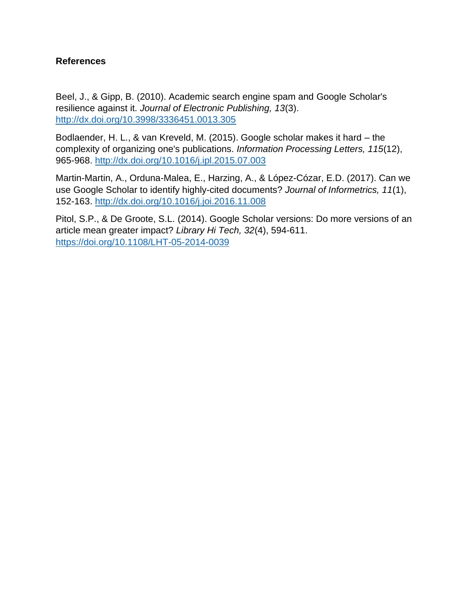#### **References**

Beel, J., & Gipp, B. (2010). Academic search engine spam and Google Scholar's resilience against it. *Journal of Electronic Publishing, 13*(3). <http://dx.doi.org/10.3998/3336451.0013.305>

Bodlaender, H. L., & van Kreveld, M. (2015). Google scholar makes it hard – the complexity of organizing one's publications. *Information Processing Letters, 115*(12), 965-968.<http://dx.doi.org/10.1016/j.ipl.2015.07.003>

Martin-Martin, A., Orduna-Malea, E., Harzing, A., & López-Cózar, E.D. (2017). Can we use Google Scholar to identify highly-cited documents? *Journal of Informetrics, 11*(1), 152-163.<http://dx.doi.org/10.1016/j.joi.2016.11.008>

Pitol, S.P., & De Groote, S.L. (2014). Google Scholar versions: Do more versions of an article mean greater impact? *Library Hi Tech, 32*(4), 594-611. <https://doi.org/10.1108/LHT-05-2014-0039>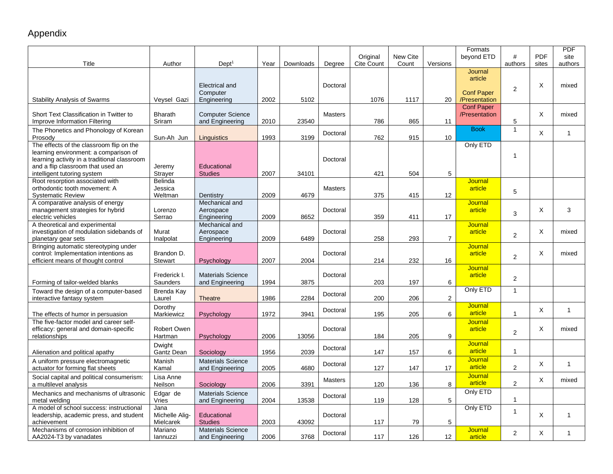# Appendix

| Title                                        | Author         | Dept <sup>1</sup>        | Year | Downloads | Degree         | Original<br>Cite Count | New Cite<br>Count | Versions        | Formats<br>beyond ETD | #<br>authors   | <b>PDF</b><br>sites | <b>PDF</b><br>site<br>authors |
|----------------------------------------------|----------------|--------------------------|------|-----------|----------------|------------------------|-------------------|-----------------|-----------------------|----------------|---------------------|-------------------------------|
|                                              |                |                          |      |           |                |                        |                   |                 | Journal               |                |                     |                               |
|                                              |                |                          |      |           |                |                        |                   |                 | article               |                |                     |                               |
|                                              |                | Electrical and           |      |           | Doctoral       |                        |                   |                 |                       |                | X                   | mixed                         |
|                                              |                | Computer                 |      |           |                |                        |                   |                 | <b>Conf Paper</b>     | 2              |                     |                               |
| <b>Stability Analysis of Swarms</b>          | Veysel Gazi    | Engineering              | 2002 | 5102      |                | 1076                   | 1117              | 20              | /Presentation         |                |                     |                               |
|                                              |                |                          |      |           |                |                        |                   |                 | <b>Conf Paper</b>     |                |                     |                               |
| Short Text Classification in Twitter to      | <b>Bharath</b> | <b>Computer Science</b>  |      |           | <b>Masters</b> |                        |                   |                 | /Presentation         |                | X                   | mixed                         |
| <b>Improve Information Filtering</b>         | Sriram         | and Engineering          | 2010 | 23540     |                | 786                    | 865               | 11              |                       | 5              |                     |                               |
| The Phonetics and Phonology of Korean        |                |                          |      |           |                |                        |                   |                 | <b>Book</b>           | $\mathbf{1}$   |                     |                               |
| Prosody                                      | Sun-Ah Jun     |                          | 1993 | 3199      | Doctoral       | 762                    | 915               | 10 <sup>°</sup> |                       |                | X                   | $\mathbf{1}$                  |
|                                              |                | Linguistics              |      |           |                |                        |                   |                 |                       |                |                     |                               |
| The effects of the classroom flip on the     |                |                          |      |           |                |                        |                   |                 | Only ETD              |                |                     |                               |
| learning environment: a comparison of        |                |                          |      |           |                |                        |                   |                 |                       | $\mathbf{1}$   |                     |                               |
| learning activity in a traditional classroom |                |                          |      |           | Doctoral       |                        |                   |                 |                       |                |                     |                               |
| and a flip classroom that used an            | Jeremy         | Educational              |      |           |                |                        |                   |                 |                       |                |                     |                               |
| intelligent tutoring system                  | Strayer        | <b>Studies</b>           | 2007 | 34101     |                | 421                    | 504               | 5               |                       |                |                     |                               |
| Root resorption associated with              | Belinda        |                          |      |           |                |                        |                   |                 | Journal               |                |                     |                               |
| orthodontic tooth movement: A                | Jessica        |                          |      |           | <b>Masters</b> |                        |                   |                 | article               | 5              |                     |                               |
| <b>Systematic Review</b>                     | Weltman        | Dentistry                | 2009 | 4679      |                | 375                    | 415               | 12              |                       |                |                     |                               |
| A comparative analysis of energy             |                | Mechanical and           |      |           |                |                        |                   |                 | Journal               |                |                     |                               |
| management strategies for hybrid             | Lorenzo        | Aerospace                |      |           | Doctoral       |                        |                   |                 | article               | 3              | X                   | 3                             |
| electric vehicles                            | Serrao         | Engineering              | 2009 | 8652      |                | 359                    | 411               | 17              |                       |                |                     |                               |
| A theoretical and experimental               |                | Mechanical and           |      |           |                |                        |                   |                 | <b>Journal</b>        |                |                     |                               |
| investigation of modulation sidebands of     | Murat          | Aerospace                |      |           | Doctoral       |                        |                   |                 | article               | $\overline{2}$ | X                   | mixed                         |
| planetary gear sets                          | Inalpolat      | Engineering              | 2009 | 6489      |                | 258                    | 293               | 7               |                       |                |                     |                               |
| Bringing automatic stereotyping under        |                |                          |      |           |                |                        |                   |                 | <b>Journal</b>        |                |                     |                               |
| control: Implementation intentions as        | Brandon D.     |                          |      |           | Doctoral       |                        |                   |                 | article               | $\overline{c}$ | X                   | mixed                         |
| efficient means of thought control           | <b>Stewart</b> | Psychology               | 2007 | 2004      |                | 214                    | 232               | 16              |                       |                |                     |                               |
|                                              |                |                          |      |           |                |                        |                   |                 | <b>Journal</b>        |                |                     |                               |
|                                              | Frederick I.   | <b>Materials Science</b> |      |           | Doctoral       |                        |                   |                 | article               | 2              |                     |                               |
| Forming of tailor-welded blanks              | Saunders       | and Engineering          | 1994 | 3875      |                | 203                    | 197               | 6               |                       |                |                     |                               |
| Toward the design of a computer-based        | Brenda Kay     |                          |      |           |                |                        |                   |                 | Only ETD              | $\mathbf{1}$   |                     |                               |
| interactive fantasy system                   | Laurel         | Theatre                  | 1986 | 2284      | Doctoral       | 200                    | 206               | 2               |                       |                |                     |                               |
|                                              | Dorothy        |                          |      |           |                |                        |                   |                 | Journal               |                |                     |                               |
| The effects of humor in persuasion           | Markiewicz     | Psychology               | 1972 | 3941      | Doctoral       | 195                    | 205               | 6               | article               | $\mathbf{1}$   | X                   | $\mathbf{1}$                  |
| The five-factor model and career self-       |                |                          |      |           |                |                        |                   |                 | <b>Journal</b>        |                |                     |                               |
|                                              | Robert Owen    |                          |      |           | Doctoral       |                        |                   |                 | article               |                | X                   | mixed                         |
| efficacy: general and domain-specific        | Hartman        | Psychology               | 2006 | 13056     |                | 184                    | 205               | 9               |                       | 2              |                     |                               |
| relationships                                |                |                          |      |           |                |                        |                   |                 |                       |                |                     |                               |
|                                              | Dwight         |                          |      |           | Doctoral       |                        |                   |                 | Journal               |                |                     |                               |
| Alienation and political apathy              | Gantz Dean     | Sociology                | 1956 | 2039      |                | 147                    | 157               | 6               | article               | $\mathbf{1}$   |                     |                               |
| A uniform pressure electromagnetic           | Manish         | <b>Materials Science</b> |      |           | Doctoral       |                        |                   |                 | <b>Journal</b>        |                | X                   | $\mathbf{1}$                  |
| actuator for forming flat sheets             | Kamal          | and Engineering          | 2005 | 4680      |                | 127                    | 147               | 17              | article               | 2              |                     |                               |
| Social capital and political consumerism:    | Lisa Anne      |                          |      |           |                |                        |                   |                 | Journal               |                |                     |                               |
| a multilevel analysis                        | Neilson        | Sociology                | 2006 | 3391      | <b>Masters</b> | 120                    | 136               | 8               | article               | $\overline{2}$ | $\times$            | mixed                         |
|                                              |                |                          |      |           |                |                        |                   |                 | Only ETD              |                |                     |                               |
| Mechanics and mechanisms of ultrasonic       | Edgar de       | <b>Materials Science</b> |      |           | Doctoral       |                        |                   |                 |                       | 1              |                     |                               |
| metal welding                                | Vries          | and Engineering          | 2004 | 13538     |                | 119                    | 128               | 5               |                       |                |                     |                               |
| A model of school success: instructional     | Jana           |                          |      |           |                |                        |                   |                 | Only ETD              | $\mathbf{1}$   |                     |                               |
| leadership, academic press, and student      | Michelle Aliq- | Educational              |      |           | Doctoral       |                        |                   |                 |                       |                | X                   | $\mathbf{1}$                  |
| achievement                                  | Mielcarek      | <b>Studies</b>           | 2003 | 43092     |                | 117                    | 79                | 5               |                       |                |                     |                               |
| Mechanisms of corrosion inhibition of        | Mariano        | <b>Materials Science</b> |      |           | Doctoral       |                        |                   |                 | Journal               | $\overline{2}$ | X                   | 1                             |
| AA2024-T3 by vanadates                       | lannuzzi       | and Engineering          | 2006 | 3768      |                | 117                    | 126               | 12              | article               |                |                     |                               |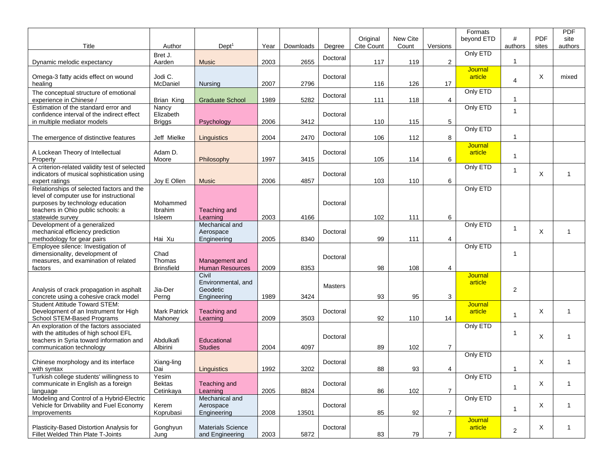| Title                                                                                                                                                                              | Author                               | Dept <sup>1</sup>                                      | Year | Downloads | Degree         | Original<br>Cite Count | New Cite<br>Count | Versions         | Formats<br>beyond ETD | #<br>authors   | <b>PDF</b><br>sites | <b>PDF</b><br>site<br>authors |
|------------------------------------------------------------------------------------------------------------------------------------------------------------------------------------|--------------------------------------|--------------------------------------------------------|------|-----------|----------------|------------------------|-------------------|------------------|-----------------------|----------------|---------------------|-------------------------------|
| Dynamic melodic expectancy                                                                                                                                                         | Bret J.<br>Aarden                    | <b>Music</b>                                           | 2003 | 2655      | Doctoral       | 117                    | 119               | $\overline{2}$   | Only ETD              | 1              |                     |                               |
| Omega-3 fatty acids effect on wound<br>healing                                                                                                                                     | Jodi C.<br>McDaniel                  | Nursing                                                | 2007 | 2796      | Doctoral       | 116                    | 126               | 17               | Journal<br>article    | 4              | X                   | mixed                         |
| The conceptual structure of emotional<br>experience in Chinese /                                                                                                                   | Brian King                           | <b>Graduate School</b>                                 | 1989 | 5282      | Doctoral       | 111                    | 118               | 4                | Only ETD              | 1              |                     |                               |
| Estimation of the standard error and<br>confidence interval of the indirect effect<br>in multiple mediator models                                                                  | Nancy<br>Elizabeth<br>Briggs         | Psychology                                             | 2006 | 3412      | Doctoral       | 110                    | 115               | 5                | Only ETD              | $\overline{1}$ |                     |                               |
| The emergence of distinctive features                                                                                                                                              | Jeff Mielke                          | Linguistics                                            | 2004 | 2470      | Doctoral       | 106                    | 112               | 8                | Only ETD              | $\mathbf{1}$   |                     |                               |
| A Lockean Theory of Intellectual<br>Property                                                                                                                                       | Adam D.<br>Moore                     | Philosophy                                             | 1997 | 3415      | Doctoral       | 105                    | 114               | 6                | Journal<br>article    | $\mathbf{1}$   |                     |                               |
| A criterion-related validity test of selected<br>indicators of musical sophistication using<br>expert ratings                                                                      | Joy E Ollen                          | <b>Music</b>                                           | 2006 | 4857      | Doctoral       | 103                    | 110               | 6                | Only ETD              | $\mathbf{1}$   | X                   | $\mathbf{1}$                  |
| Relationships of selected factors and the<br>level of computer use for instructional<br>purposes by technology education<br>teachers in Ohio public schools: a<br>statewide survey | Mohammed<br><b>Ibrahim</b><br>Isleem | Teaching and<br>Learning                               | 2003 | 4166      | Doctoral       | 102                    | 111               | 6                | Only ETD              |                |                     |                               |
| Development of a generalized<br>mechanical efficiency prediction<br>methodology for gear pairs                                                                                     | Hai Xu                               | Mechanical and<br>Aerospace<br>Engineering             | 2005 | 8340      | Doctoral       | 99                     | 111               | 4                | Only ETD              | $\mathbf{1}$   | X                   | $\mathbf{1}$                  |
| Employee silence: Investigation of<br>dimensionality, development of<br>measures, and examination of related<br>factors                                                            | Chad<br>Thomas<br><b>Brinsfield</b>  | Management and<br><b>Human Resources</b>               | 2009 | 8353      | Doctoral       | 98                     | 108               | 4                | Only ETD              | 1              |                     |                               |
| Analysis of crack propagation in asphalt<br>concrete using a cohesive crack model                                                                                                  | Jia-Der<br>Perng                     | Civil<br>Environmental, and<br>Geodetic<br>Engineering | 1989 | 3424      | <b>Masters</b> | 93                     | 95                | 3                | Journal<br>article    | 2              |                     |                               |
| <b>Student Attitude Toward STEM:</b><br>Development of an Instrument for High<br>School STEM-Based Programs                                                                        | <b>Mark Patrick</b><br>Mahoney       | Teaching and<br>Learning                               | 2009 | 3503      | Doctoral       | 92                     | 110               | 14               | Journal<br>article    | $\mathbf{1}$   | X                   | $\mathbf{1}$                  |
| An exploration of the factors associated<br>with the attitudes of high school EFL<br>teachers in Syria toward information and<br>communication technology                          | Abdulkafi<br>Albirini                | Educational<br><b>Studies</b>                          | 2004 | 4097      | Doctoral       | 89                     | 102               | $\overline{7}$   | Only ETD              | 1              | X                   | 1                             |
| Chinese morphology and its interface<br>with syntax                                                                                                                                | Xiang-ling<br>Dai                    | Linguistics                                            | 1992 | 3202      | Doctoral       | 88                     | 93                | 4                | Only ETD              | 1              | Χ                   | $\mathbf{1}$                  |
| Turkish college students' willingness to<br>communicate in English as a foreign<br>language                                                                                        | Yesim<br><b>Bektas</b><br>Cetinkaya  | Teaching and<br>Learning                               | 2005 | 8824      | Doctoral       | 86                     | 102               | $\boldsymbol{7}$ | Only ETD              | $\mathbf{1}$   | X                   | $\mathbf{1}$                  |
| Modeling and Control of a Hybrid-Electric<br>Vehicle for Drivability and Fuel Economy<br>Improvements                                                                              | Kerem<br>Koprubasi                   | Mechanical and<br>Aerospace<br>Engineering             | 2008 | 13501     | Doctoral       | 85                     | 92                | $\overline{7}$   | Only ETD              | $\mathbf{1}$   | X                   | $\mathbf{1}$                  |
| Plasticity-Based Distortion Analysis for<br>Fillet Welded Thin Plate T-Joints                                                                                                      | Gonghyun<br>Jung                     | <b>Materials Science</b><br>and Engineering            | 2003 | 5872      | Doctoral       | 83                     | 79                | $\overline{7}$   | Journal<br>article    | $\overline{c}$ | X                   | $\mathbf{1}$                  |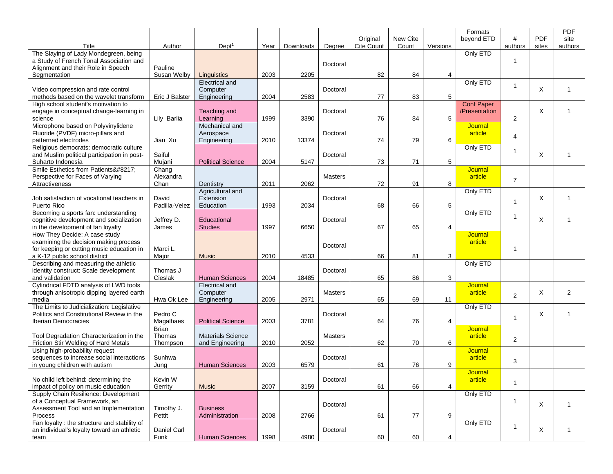| Title                                                                                                                                                | Author                             | Dept <sup>1</sup>                           | Year | Downloads | Degree         | Original<br>Cite Count | New Cite<br>Count | Versions | Formats<br>beyond ETD              | #<br>authors   | <b>PDF</b><br>sites | <b>PDF</b><br>site<br>authors |
|------------------------------------------------------------------------------------------------------------------------------------------------------|------------------------------------|---------------------------------------------|------|-----------|----------------|------------------------|-------------------|----------|------------------------------------|----------------|---------------------|-------------------------------|
| The Slaying of Lady Mondegreen, being<br>a Study of French Tonal Association and<br>Alignment and their Role in Speech                               | Pauline                            |                                             |      |           | Doctoral       |                        |                   |          | Only ETD                           | 1              |                     |                               |
| Segmentation                                                                                                                                         | Susan Welby                        | Linguistics                                 | 2003 | 2205      |                | 82                     | 84                | 4        |                                    |                |                     |                               |
| Video compression and rate control<br>methods based on the wavelet transform                                                                         | Eric J Balster                     | Electrical and<br>Computer<br>Engineering   | 2004 | 2583      | Doctoral       | 77                     | 83                | 5        | Only ETD                           | $\mathbf{1}$   | X                   | $\mathbf{1}$                  |
| High school student's motivation to<br>engage in conceptual change-learning in<br>science                                                            | Lily Barlia                        | Teaching and<br>Learning                    | 1999 | 3390      | Doctoral       | 76                     | 84                | 5        | <b>Conf Paper</b><br>/Presentation | 2              | X                   | $\mathbf{1}$                  |
| Microphone based on Polyvinylidene<br>Fluoride (PVDF) micro-pillars and<br>patterned electrodes                                                      | Jian Xu                            | Mechanical and<br>Aerospace<br>Engineering  | 2010 | 13374     | Doctoral       | 74                     | 79                | 6        | Journal<br>article                 | 4              |                     |                               |
| Religious democrats: democratic culture<br>and Muslim political participation in post-<br>Suharto Indonesia                                          | Saiful<br>Mujani                   | <b>Political Science</b>                    | 2004 | 5147      | Doctoral       | 73                     | 71                | 5        | Only ETD                           | $\mathbf{1}$   | X                   | 1                             |
| Smile Esthetics from Patients'<br>Perspective for Faces of Varying<br>Attractiveness                                                                 | Chang<br>Alexandra<br>Chan         | Dentistry                                   | 2011 | 2062      | <b>Masters</b> | 72                     | 91                | 8        | Journal<br>article                 | $\overline{7}$ |                     |                               |
| Job satisfaction of vocational teachers in<br>Puerto Rico                                                                                            | David<br>Padilla-Velez             | Agricultural and<br>Extension<br>Education  | 1993 | 2034      | Doctoral       | 68                     | 66                | 5        | Only ETD                           | $\mathbf{1}$   | X                   | $\mathbf{1}$                  |
| Becoming a sports fan: understanding<br>cognitive development and socialization<br>in the development of fan loyalty                                 | Jeffrey D.<br>James                | Educational<br><b>Studies</b>               | 1997 | 6650      | Doctoral       | 67                     | 65                | 4        | Only ETD                           | $\mathbf{1}$   | X                   | 1                             |
| How They Decide: A case study<br>examining the decision making process<br>for keeping or cutting music education in<br>a K-12 public school district | Marci L.<br>Major                  | <b>Music</b>                                | 2010 | 4533      | Doctoral       | 66                     | 81                | 3        | Journal<br>article                 | $\mathbf{1}$   |                     |                               |
| Describing and measuring the athletic<br>identity construct: Scale development<br>and validation                                                     | Thomas J<br>Cieslak                | <b>Human Sciences</b>                       | 2004 | 18485     | Doctoral       | 65                     | 86                | 3        | Only ETD                           |                |                     |                               |
| Cylindrical FDTD analysis of LWD tools<br>through anisotropic dipping layered earth<br>media                                                         | Hwa Ok Lee                         | Electrical and<br>Computer<br>Engineering   | 2005 | 2971      | <b>Masters</b> | 65                     | 69                | 11       | <b>Journal</b><br>article          | $\overline{2}$ | X                   | 2                             |
| The Limits to Judicialization: Legislative<br>Politics and Constitutional Review in the<br><b>Iberian Democracies</b>                                | Pedro C<br>Magalhaes               | <b>Political Science</b>                    | 2003 | 3781      | Doctoral       | 64                     | 76                | 4        | Only ETD                           | $\mathbf{1}$   | X                   | 1                             |
| Tool Degradation Characterization in the<br>Friction Stir Welding of Hard Metals                                                                     | <b>Brian</b><br>Thomas<br>Thompson | <b>Materials Science</b><br>and Engineering | 2010 | 2052      | <b>Masters</b> | 62                     | 70                | 6        | <b>Journal</b><br>article          | 2              |                     |                               |
| Using high-probability request<br>sequences to increase social interactions<br>in young children with autism                                         | Sunhwa<br>Jung                     | <b>Human Sciences</b>                       | 2003 | 6579      | Doctoral       | 61                     | 76                | 9        | Journal<br>article                 | 3              |                     |                               |
| No child left behind: determining the<br>impact of policy on music education                                                                         | Kevin W<br>Gerrity                 | <b>Music</b>                                | 2007 | 3159      | Doctoral       | 61                     | 66                | 4        | <b>Journal</b><br>article          | $\mathbf{1}$   |                     |                               |
| Supply Chain Resilience: Development<br>of a Conceptual Framework, an<br>Assessment Tool and an Implementation<br>Process                            | Timothy J.<br>Pettit               | <b>Business</b><br>Administration           | 2008 | 2766      | Doctoral       | 61                     | 77                | 9        | Only ETD                           | 1              | X                   | $\mathbf{1}$                  |
| Fan loyalty : the structure and stability of<br>an individual's loyalty toward an athletic<br>team                                                   | Daniel Carl<br>Funk                | <b>Human Sciences</b>                       | 1998 | 4980      | Doctoral       | 60                     | 60                | 4        | Only ETD                           | $\mathbf{1}$   | X                   | $\mathbf{1}$                  |